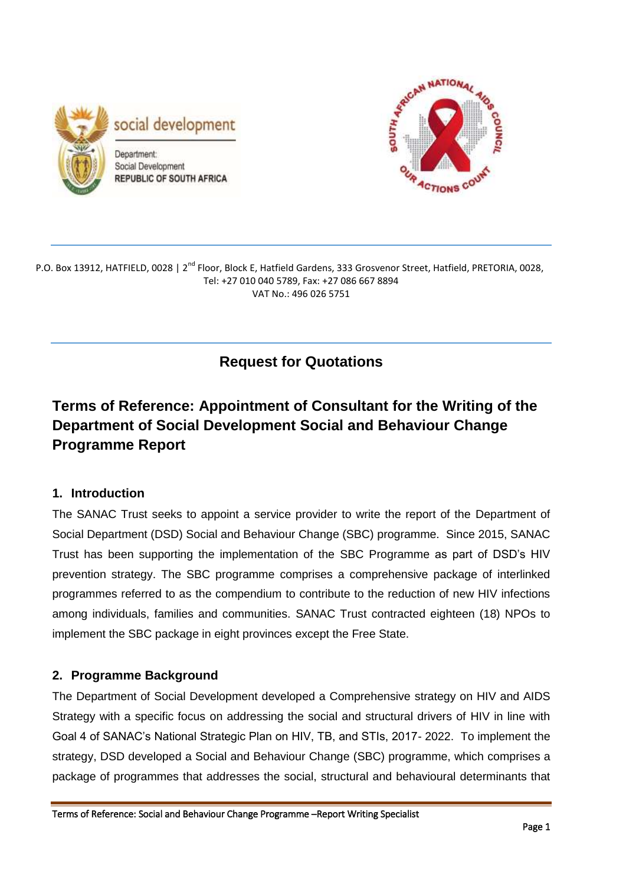



P.O. Box 13912, HATFIELD, 0028 | 2<sup>nd</sup> Floor, Block E, Hatfield Gardens, 333 Grosvenor Street, Hatfield, PRETORIA, 0028, Tel: +27 010 040 5789, Fax: +27 086 667 8894 VAT No.: 496 026 5751

**Request for Quotations**

# **Terms of Reference: Appointment of Consultant for the Writing of the Department of Social Development Social and Behaviour Change Programme Report**

# **1. Introduction**

The SANAC Trust seeks to appoint a service provider to write the report of the Department of Social Department (DSD) Social and Behaviour Change (SBC) programme. Since 2015, SANAC Trust has been supporting the implementation of the SBC Programme as part of DSD's HIV prevention strategy. The SBC programme comprises a comprehensive package of interlinked programmes referred to as the compendium to contribute to the reduction of new HIV infections among individuals, families and communities. SANAC Trust contracted eighteen (18) NPOs to implement the SBC package in eight provinces except the Free State.

# **2. Programme Background**

The Department of Social Development developed a Comprehensive strategy on HIV and AIDS Strategy with a specific focus on addressing the social and structural drivers of HIV in line with Goal 4 of SANAC's National Strategic Plan on HIV, TB, and STIs, 2017- 2022. To implement the strategy, DSD developed a Social and Behaviour Change (SBC) programme, which comprises a package of programmes that addresses the social, structural and behavioural determinants that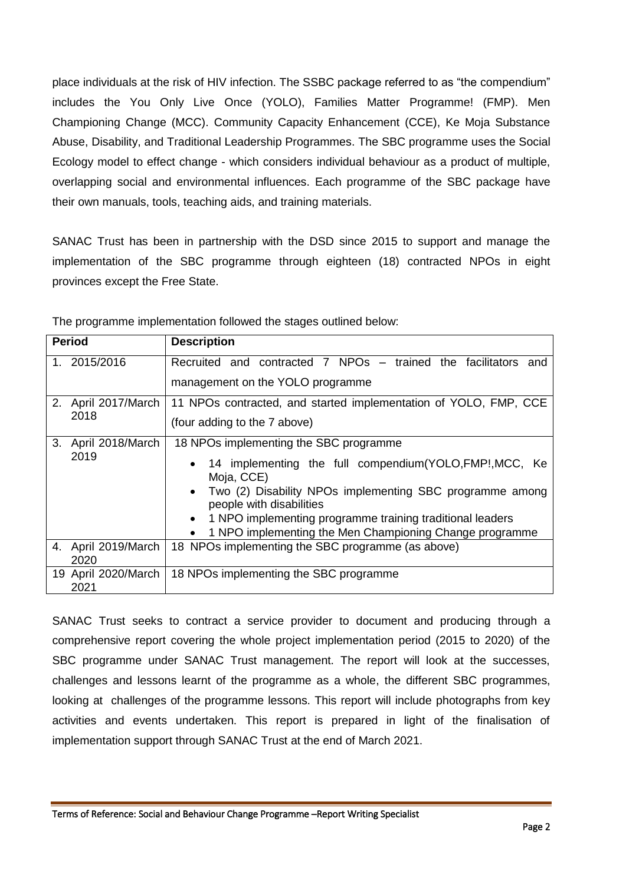place individuals at the risk of HIV infection. The SSBC package referred to as "the compendium" includes the You Only Live Once (YOLO), Families Matter Programme! (FMP). Men Championing Change (MCC). Community Capacity Enhancement (CCE), Ke Moja Substance Abuse, Disability, and Traditional Leadership Programmes. The SBC programme uses the Social Ecology model to effect change - which considers individual behaviour as a product of multiple, overlapping social and environmental influences. Each programme of the SBC package have their own manuals, tools, teaching aids, and training materials.

SANAC Trust has been in partnership with the DSD since 2015 to support and manage the implementation of the SBC programme through eighteen (18) contracted NPOs in eight provinces except the Free State.

| <b>Period</b> |                             | <b>Description</b>                                                                                                                                                                                                                                                                                                                                                      |  |  |
|---------------|-----------------------------|-------------------------------------------------------------------------------------------------------------------------------------------------------------------------------------------------------------------------------------------------------------------------------------------------------------------------------------------------------------------------|--|--|
|               | 1. 2015/2016                | Recruited and contracted 7 NPOs – trained the facilitators and<br>management on the YOLO programme                                                                                                                                                                                                                                                                      |  |  |
|               | 2. April 2017/March<br>2018 | 11 NPOs contracted, and started implementation of YOLO, FMP, CCE<br>(four adding to the 7 above)                                                                                                                                                                                                                                                                        |  |  |
| 3.            | April 2018/March<br>2019    | 18 NPOs implementing the SBC programme<br>14 implementing the full compendium (YOLO, FMP!, MCC, Ke<br>$\bullet$<br>Moja, CCE)<br>Two (2) Disability NPOs implementing SBC programme among<br>$\bullet$<br>people with disabilities<br>1 NPO implementing programme training traditional leaders<br>$\bullet$<br>1 NPO implementing the Men Championing Change programme |  |  |
|               | 4. April 2019/March<br>2020 | 18 NPOs implementing the SBC programme (as above)                                                                                                                                                                                                                                                                                                                       |  |  |
|               | 19 April 2020/March<br>2021 | 18 NPOs implementing the SBC programme                                                                                                                                                                                                                                                                                                                                  |  |  |

The programme implementation followed the stages outlined below:

SANAC Trust seeks to contract a service provider to document and producing through a comprehensive report covering the whole project implementation period (2015 to 2020) of the SBC programme under SANAC Trust management. The report will look at the successes, challenges and lessons learnt of the programme as a whole, the different SBC programmes, looking at challenges of the programme lessons. This report will include photographs from key activities and events undertaken. This report is prepared in light of the finalisation of implementation support through SANAC Trust at the end of March 2021.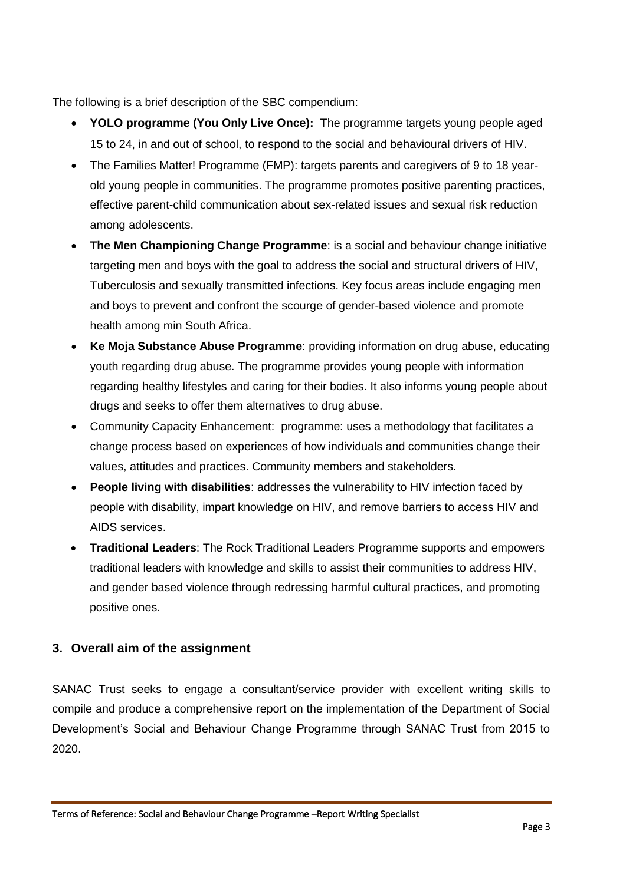The following is a brief description of the SBC compendium:

- **YOLO programme (You Only Live Once):** The programme targets young people aged 15 to 24, in and out of school, to respond to the social and behavioural drivers of HIV.
- The Families Matter! Programme (FMP): targets parents and caregivers of 9 to 18 yearold young people in communities. The programme promotes positive parenting practices, effective parent-child communication about sex-related issues and sexual risk reduction among adolescents.
- **The Men Championing Change Programme**: is a social and behaviour change initiative targeting men and boys with the goal to address the social and structural drivers of HIV, Tuberculosis and sexually transmitted infections. Key focus areas include engaging men and boys to prevent and confront the scourge of gender-based violence and promote health among min South Africa.
- **Ke Moja Substance Abuse Programme**: providing information on drug abuse, educating youth regarding drug abuse. The programme provides young people with information regarding healthy lifestyles and caring for their bodies. It also informs young people about drugs and seeks to offer them alternatives to drug abuse.
- Community Capacity Enhancement: programme: uses a methodology that facilitates a change process based on experiences of how individuals and communities change their values, attitudes and practices. Community members and stakeholders.
- **People living with disabilities**: addresses the vulnerability to HIV infection faced by people with disability, impart knowledge on HIV, and remove barriers to access HIV and AIDS services.
- **Traditional Leaders**: The Rock Traditional Leaders Programme supports and empowers traditional leaders with knowledge and skills to assist their communities to address HIV, and gender based violence through redressing harmful cultural practices, and promoting positive ones.

# **3. Overall aim of the assignment**

SANAC Trust seeks to engage a consultant/service provider with excellent writing skills to compile and produce a comprehensive report on the implementation of the Department of Social Development's Social and Behaviour Change Programme through SANAC Trust from 2015 to 2020.

Terms of Reference: Social and Behaviour Change Programme –Report Writing Specialist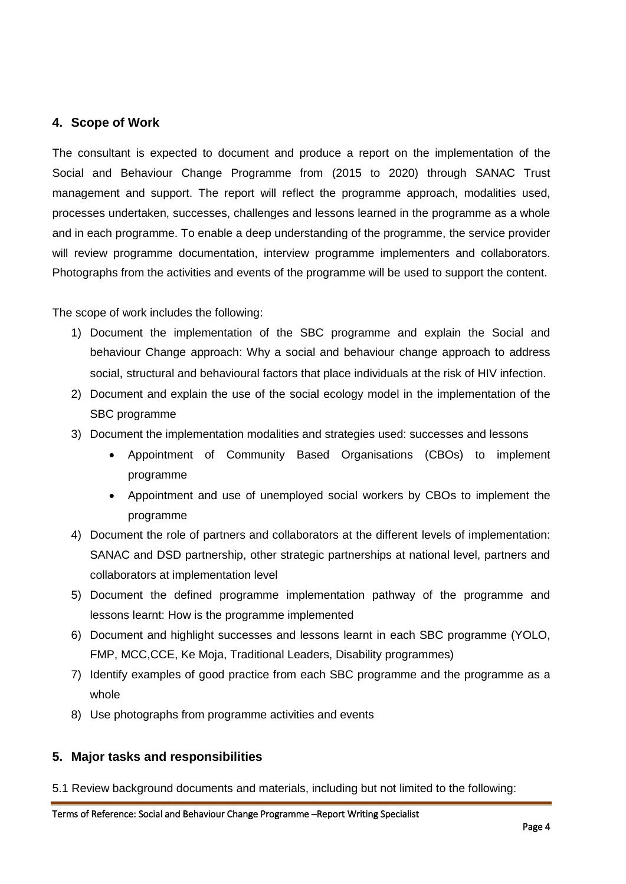#### **4. Scope of Work**

The consultant is expected to document and produce a report on the implementation of the Social and Behaviour Change Programme from (2015 to 2020) through SANAC Trust management and support. The report will reflect the programme approach, modalities used, processes undertaken, successes, challenges and lessons learned in the programme as a whole and in each programme. To enable a deep understanding of the programme, the service provider will review programme documentation, interview programme implementers and collaborators. Photographs from the activities and events of the programme will be used to support the content.

The scope of work includes the following:

- 1) Document the implementation of the SBC programme and explain the Social and behaviour Change approach: Why a social and behaviour change approach to address social, structural and behavioural factors that place individuals at the risk of HIV infection.
- 2) Document and explain the use of the social ecology model in the implementation of the SBC programme
- 3) Document the implementation modalities and strategies used: successes and lessons
	- Appointment of Community Based Organisations (CBOs) to implement programme
	- Appointment and use of unemployed social workers by CBOs to implement the programme
- 4) Document the role of partners and collaborators at the different levels of implementation: SANAC and DSD partnership, other strategic partnerships at national level, partners and collaborators at implementation level
- 5) Document the defined programme implementation pathway of the programme and lessons learnt: How is the programme implemented
- 6) Document and highlight successes and lessons learnt in each SBC programme (YOLO, FMP, MCC,CCE, Ke Moja, Traditional Leaders, Disability programmes)
- 7) Identify examples of good practice from each SBC programme and the programme as a whole
- 8) Use photographs from programme activities and events

# **5. Major tasks and responsibilities**

5.1 Review background documents and materials, including but not limited to the following: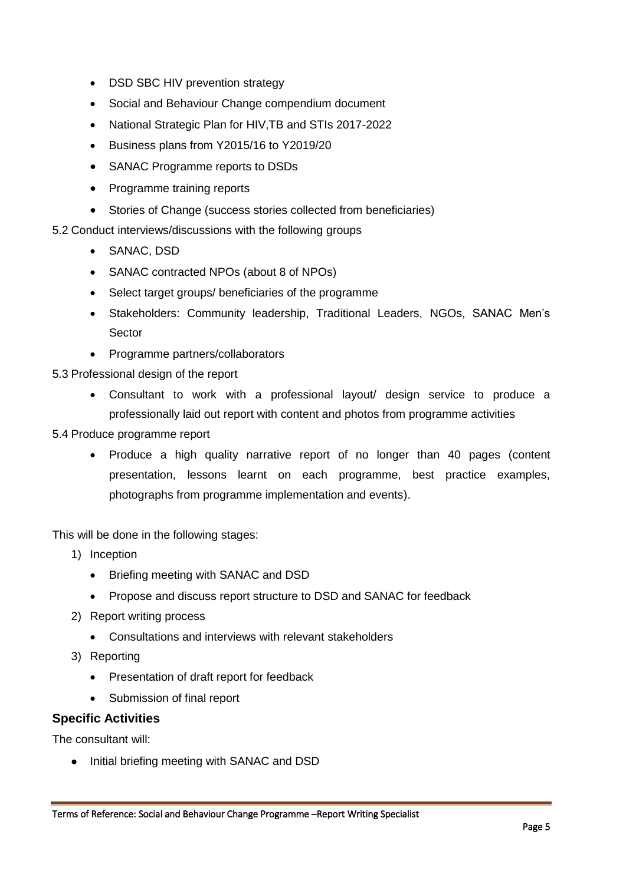- DSD SBC HIV prevention strategy
- Social and Behaviour Change compendium document
- National Strategic Plan for HIV,TB and STIs 2017-2022
- Business plans from Y2015/16 to Y2019/20
- SANAC Programme reports to DSDs
- Programme training reports
- Stories of Change (success stories collected from beneficiaries)
- 5.2 Conduct interviews/discussions with the following groups
	- SANAC, DSD
	- SANAC contracted NPOs (about 8 of NPOs)
	- Select target groups/ beneficiaries of the programme
	- Stakeholders: Community leadership, Traditional Leaders, NGOs, SANAC Men's Sector
	- Programme partners/collaborators
- 5.3 Professional design of the report
	- Consultant to work with a professional layout/ design service to produce a professionally laid out report with content and photos from programme activities
- 5.4 Produce programme report
	- Produce a high quality narrative report of no longer than 40 pages (content presentation, lessons learnt on each programme, best practice examples, photographs from programme implementation and events).

This will be done in the following stages:

- 1) Inception
	- Briefing meeting with SANAC and DSD
	- Propose and discuss report structure to DSD and SANAC for feedback
- 2) Report writing process
	- Consultations and interviews with relevant stakeholders
- 3) Reporting
	- Presentation of draft report for feedback
	- Submission of final report

#### **Specific Activities**

The consultant will:

• Initial briefing meeting with SANAC and DSD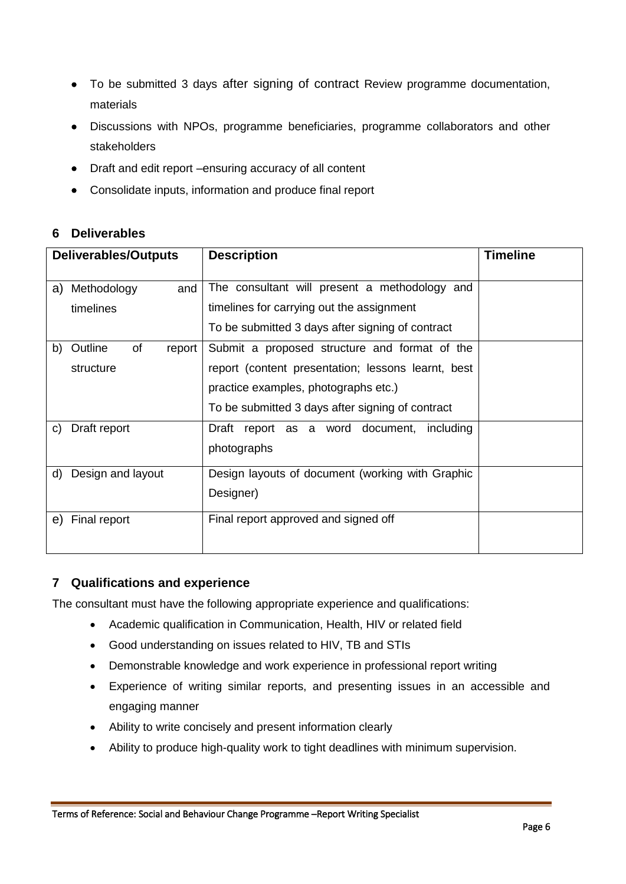- To be submitted 3 days after signing of contract Review programme documentation, materials
- Discussions with NPOs, programme beneficiaries, programme collaborators and other stakeholders
- Draft and edit report –ensuring accuracy of all content
- Consolidate inputs, information and produce final report

# **6 Deliverables**

| <b>Deliverables/Outputs</b>   | <b>Description</b>                                 | <b>Timeline</b> |
|-------------------------------|----------------------------------------------------|-----------------|
|                               |                                                    |                 |
| a) Methodology<br>and         | The consultant will present a methodology and      |                 |
| timelines                     | timelines for carrying out the assignment          |                 |
|                               | To be submitted 3 days after signing of contract   |                 |
| of<br>Outline<br>b)<br>report | Submit a proposed structure and format of the      |                 |
| structure                     | report (content presentation; lessons learnt, best |                 |
|                               | practice examples, photographs etc.)               |                 |
|                               | To be submitted 3 days after signing of contract   |                 |
| Draft report<br>C)            | Draft report as a word document, including         |                 |
|                               | photographs                                        |                 |
| Design and layout<br>d)       | Design layouts of document (working with Graphic   |                 |
|                               | Designer)                                          |                 |
| Final report<br>e)            | Final report approved and signed off               |                 |
|                               |                                                    |                 |

# **7 Qualifications and experience**

The consultant must have the following appropriate experience and qualifications:

- Academic qualification in Communication, Health, HIV or related field
- Good understanding on issues related to HIV, TB and STIs
- Demonstrable knowledge and work experience in professional report writing
- Experience of writing similar reports, and presenting issues in an accessible and engaging manner
- Ability to write concisely and present information clearly
- Ability to produce high-quality work to tight deadlines with minimum supervision.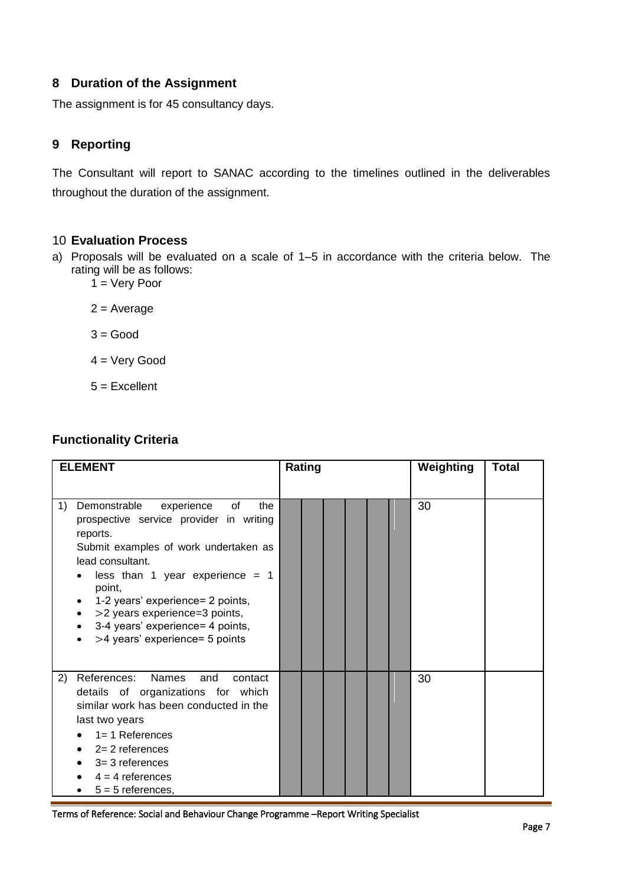# **8 Duration of the Assignment**

The assignment is for 45 consultancy days.

# **9 Reporting**

The Consultant will report to SANAC according to the timelines outlined in the deliverables throughout the duration of the assignment.

#### 10 **Evaluation Process**

- a) Proposals will be evaluated on a scale of 1–5 in accordance with the criteria below. The rating will be as follows:
	- $1 =$  Very Poor
	- $2 = Average$
	- $3 = Good$
	- 4 = Very Good
	- $5 =$ Excellent

# **Functionality Criteria**

| <b>ELEMENT</b>                                                                                                                                                                                                                                                                                                                                              | Rating | Weighting<br>Total |
|-------------------------------------------------------------------------------------------------------------------------------------------------------------------------------------------------------------------------------------------------------------------------------------------------------------------------------------------------------------|--------|--------------------|
| of<br>1)<br>Demonstrable<br>experience<br>the<br>prospective service provider in writing<br>reports.<br>Submit examples of work undertaken as<br>lead consultant.<br>less than 1 year experience = $1$<br>point,<br>1-2 years' experience= 2 points,<br>>2 years experience=3 points,<br>3-4 years' experience= 4 points,<br>>4 years' experience= 5 points |        | 30                 |
| <b>Names</b><br>References:<br>2)<br>and<br>contact<br>details of organizations for which<br>similar work has been conducted in the<br>last two years<br>$1 = 1$ References<br>$2 = 2$ references<br>$3=3$ references<br>$4 = 4$ references<br>$5 = 5$ references,                                                                                          |        | 30                 |

Terms of Reference: Social and Behaviour Change Programme –Report Writing Specialist